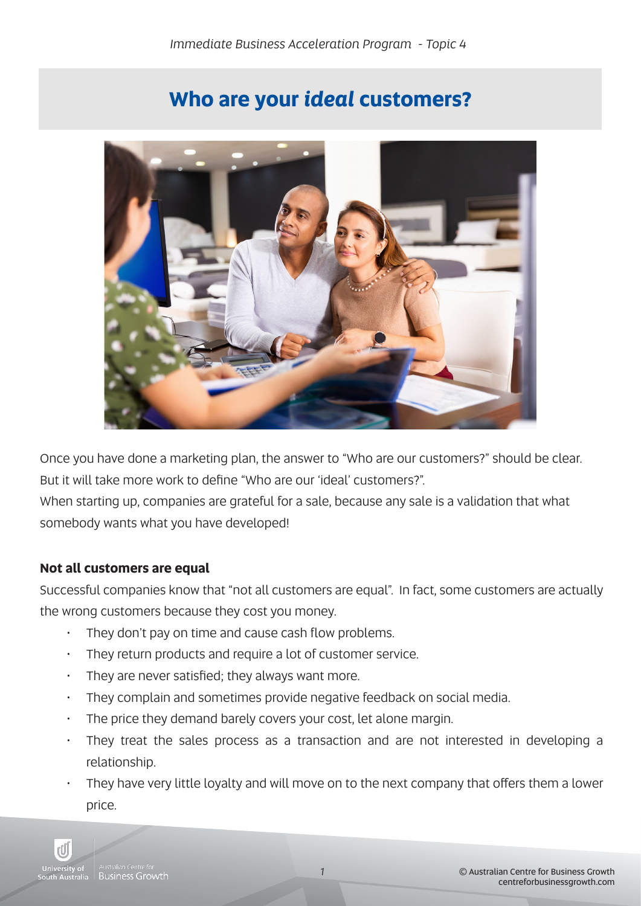# **Who are your** *ideal* **customers?**



Once you have done a marketing plan, the answer to "Who are our customers?" should be clear. But it will take more work to define "Who are our 'ideal' customers?".

When starting up, companies are grateful for a sale, because any sale is a validation that what somebody wants what you have developed!

#### **Not all customers are equal**

Successful companies know that "not all customers are equal". In fact, some customers are actually the wrong customers because they cost you money.

- They don't pay on time and cause cash flow problems.
- They return products and require a lot of customer service.
- $\cdot$  They are never satisfied; they always want more.
- They complain and sometimes provide negative feedback on social media.
- The price they demand barely covers your cost, let alone margin.
- They treat the sales process as a transaction and are not interested in developing a relationship.
- They have very little loyalty and will move on to the next company that offers them a lower price.

*1*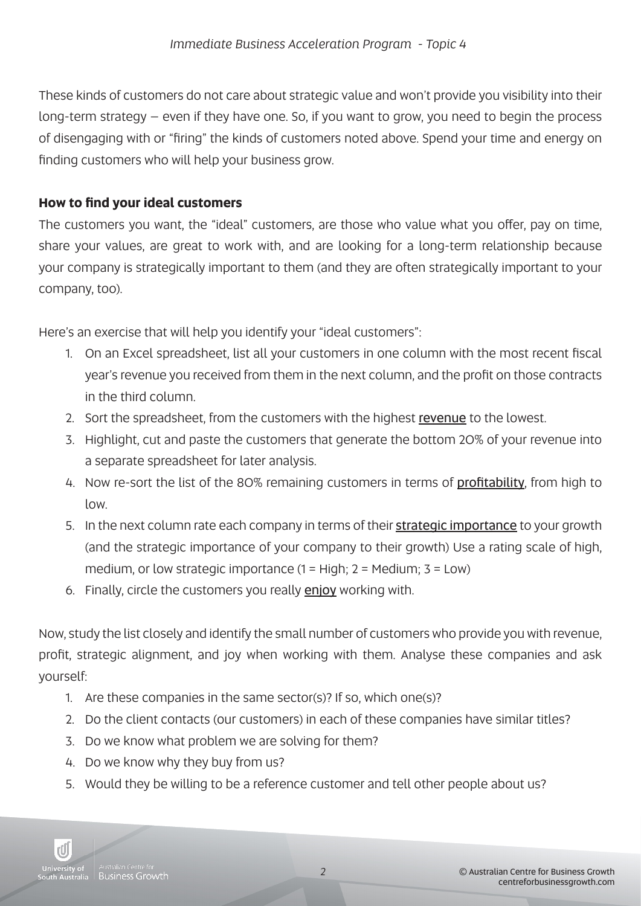These kinds of customers do not care about strategic value and won't provide you visibility into their long-term strategy – even if they have one. So, if you want to grow, you need to begin the process of disengaging with or "firing" the kinds of customers noted above. Spend your time and energy on finding customers who will help your business grow.

# **How to find your ideal customers**

The customers you want, the "ideal" customers, are those who value what you offer, pay on time, share your values, are great to work with, and are looking for a long-term relationship because your company is strategically important to them (and they are often strategically important to your company, too).

Here's an exercise that will help you identify your "ideal customers":

- 1. On an Excel spreadsheet, list all your customers in one column with the most recent fiscal year's revenue you received from them in the next column, and the profit on those contracts in the third column.
- 2. Sort the spreadsheet, from the customers with the highest revenue to the lowest.
- 3. Highlight, cut and paste the customers that generate the bottom 20% of your revenue into a separate spreadsheet for later analysis.
- 4. Now re-sort the list of the 80% remaining customers in terms of profitability, from high to low.
- 5. In the next column rate each company in terms of their strategic importance to your growth (and the strategic importance of your company to their growth) Use a rating scale of high, medium, or low strategic importance  $(1 = High; 2 = Medium; 3 = Low)$
- 6. Finally, circle the customers you really enjoy working with.

Now, study the list closely and identify the small number of customers who provide you with revenue, profit, strategic alignment, and joy when working with them. Analyse these companies and ask yourself:

- 1. Are these companies in the same sector(s)? If so, which one(s)?
- 2. Do the client contacts (our customers) in each of these companies have similar titles?
- 3. Do we know what problem we are solving for them?
- 4. Do we know why they buy from us?
- 5. Would they be willing to be a reference customer and tell other people about us?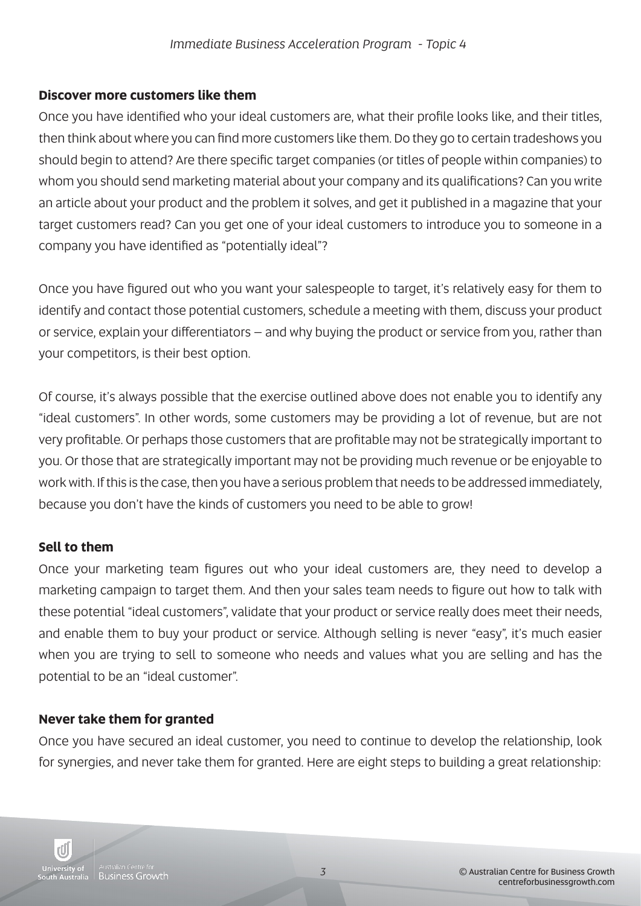### **Discover more customers like them**

Once you have identified who your ideal customers are, what their profile looks like, and their titles, then think about where you can find more customers like them. Do they go to certain tradeshows you should begin to attend? Are there specific target companies (or titles of people within companies) to whom you should send marketing material about your company and its qualifications? Can you write an article about your product and the problem it solves, and get it published in a magazine that your target customers read? Can you get one of your ideal customers to introduce you to someone in a company you have identified as "potentially ideal"?

Once you have figured out who you want your salespeople to target, it's relatively easy for them to identify and contact those potential customers, schedule a meeting with them, discuss your product or service, explain your differentiators – and why buying the product or service from you, rather than your competitors, is their best option.

Of course, it's always possible that the exercise outlined above does not enable you to identify any "ideal customers". In other words, some customers may be providing a lot of revenue, but are not very profitable. Or perhaps those customers that are profitable may not be strategically important to you. Or those that are strategically important may not be providing much revenue or be enjoyable to work with. If this is the case, then you have a serious problem that needs to be addressed immediately, because you don't have the kinds of customers you need to be able to grow!

#### **Sell to them**

Once your marketing team figures out who your ideal customers are, they need to develop a marketing campaign to target them. And then your sales team needs to figure out how to talk with these potential "ideal customers", validate that your product or service really does meet their needs, and enable them to buy your product or service. Although selling is never "easy", it's much easier when you are trying to sell to someone who needs and values what you are selling and has the potential to be an "ideal customer".

## **Never take them for granted**

Once you have secured an ideal customer, you need to continue to develop the relationship, look for synergies, and never take them for granted. Here are eight steps to building a great relationship: